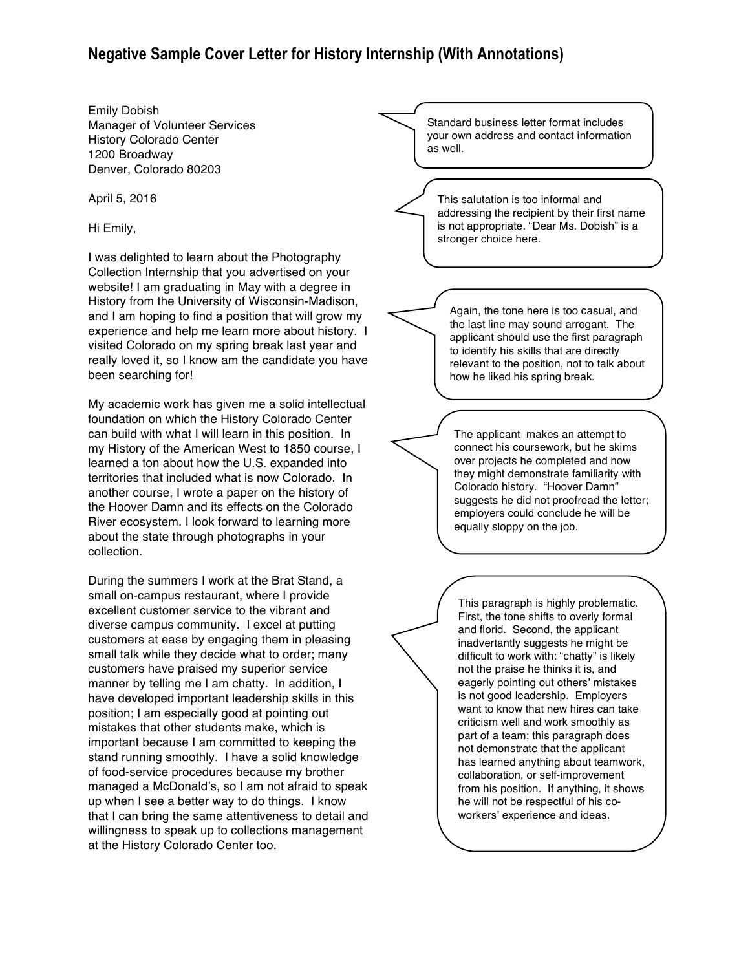## **Negative Sample Cover Letter for History Internship (With Annotations)**

Emily Dobish Manager of Volunteer Services History Colorado Center 1200 Broadway Denver, Colorado 80203

April 5, 2016

Hi Emily,

I was delighted to learn about the Photography Collection Internship that you advertised on your website! I am graduating in May with a degree in History from the University of Wisconsin-Madison, and I am hoping to find a position that will grow my experience and help me learn more about history. I visited Colorado on my spring break last year and really loved it, so I know am the candidate you have been searching for!

My academic work has given me a solid intellectual foundation on which the History Colorado Center can build with what I will learn in this position. In my History of the American West to 1850 course, I learned a ton about how the U.S. expanded into territories that included what is now Colorado. In another course, I wrote a paper on the history of the Hoover Damn and its effects on the Colorado River ecosystem. I look forward to learning more about the state through photographs in your collection.

During the summers I work at the Brat Stand, a small on-campus restaurant, where I provide excellent customer service to the vibrant and diverse campus community. I excel at putting customers at ease by engaging them in pleasing small talk while they decide what to order; many customers have praised my superior service manner by telling me I am chatty. In addition, I have developed important leadership skills in this position; I am especially good at pointing out mistakes that other students make, which is important because I am committed to keeping the stand running smoothly. I have a solid knowledge of food-service procedures because my brother managed a McDonald's, so I am not afraid to speak up when I see a better way to do things. I know that I can bring the same attentiveness to detail and willingness to speak up to collections management at the History Colorado Center too.

Standard business letter format includes your own address and contact information as well.

This salutation is too informal and addressing the recipient by their first name is not appropriate. "Dear Ms. Dobish" is a stronger choice here.

Again, the tone here is too casual, and the last line may sound arrogant. The applicant should use the first paragraph to identify his skills that are directly relevant to the position, not to talk about how he liked his spring break.

The applicant makes an attempt to connect his coursework, but he skims over projects he completed and how they might demonstrate familiarity with Colorado history. "Hoover Damn" suggests he did not proofread the letter; employers could conclude he will be equally sloppy on the job.

This paragraph is highly problematic. First, the tone shifts to overly formal and florid. Second, the applicant inadvertantly suggests he might be difficult to work with: "chatty" is likely not the praise he thinks it is, and eagerly pointing out others' mistakes is not good leadership. Employers want to know that new hires can take criticism well and work smoothly as part of a team; this paragraph does not demonstrate that the applicant has learned anything about teamwork, collaboration, or self-improvement from his position. If anything, it shows he will not be respectful of his coworkers' experience and ideas.